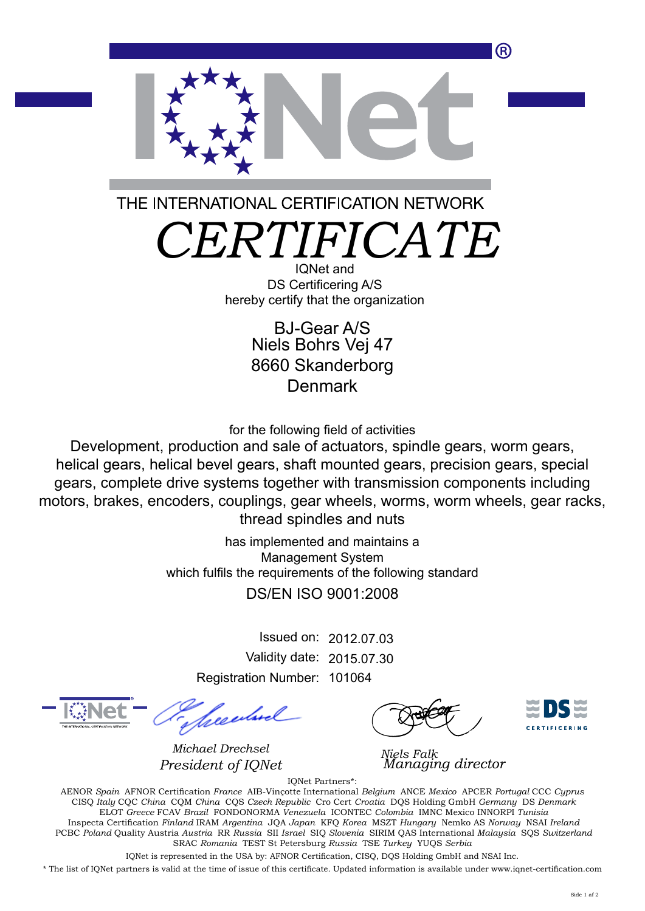(R)



THE INTERNATIONAL CERTIFICATION NETWORK

*CERTIFICATE*

IQNet and DS Certificering A/S hereby certify that the organization

> Niels Bohrs Vej 47 8660 Skanderborg **Denmark** BJ-Gear A/S

for the following field of activities

Development, production and sale of actuators, spindle gears, worm gears, helical gears, helical bevel gears, shaft mounted gears, precision gears, special gears, complete drive systems together with transmission components including motors, brakes, encoders, couplings, gear wheels, worms, worm wheels, gear racks, thread spindles and nuts

> has implemented and maintains a Management System which fulfils the requirements of the following standard DS/EN ISO 9001:2008

> > Issued on: 2012.07.03 Validity date: 2015.07.30 Registration Number: 101064

*Michael Drechsel President of IQNet* 



*Niels Falk*

IQNet Partners\*: AENOR *Spain* AFNOR Certification *France* AIB-Vinçotte International *Belgium* ANCE *Mexico* APCER *Portugal* CCC *Cyprus* CISQ *Italy* CQC *China* CQM *China* CQS *Czech Republic* Cro Cert *Croatia* DQS Holding GmbH *Germany* DS *Denmark* ELOT *Greece* FCAV *Brazil* FONDONORMA *Venezuela* ICONTEC *Colombia* IMNC Mexico INNORPI *Tunisia* Inspecta Certification *Finland* IRAM *Argentina* JQA *Japan* KFQ *Korea* MSZT *Hungary* Nemko AS *Norway* NSAI *Ireland* PCBC *Poland* Quality Austria *Austria* RR *Russia* SII *Israel* SIQ *Slovenia* SIRIM QAS International *Malaysia* SQS *Switzerland* SRAC *Romania* TEST St Petersburg *Russia* TSE *Turkey* YUQS *Serbia*

IQNet is represented in the USA by: AFNOR Certification, CISQ, DQS Holding GmbH and NSAI Inc.

\* The list of IQNet partners is valid at the time of issue of this certificate. Updated information is available under www.iqnet-certification.com